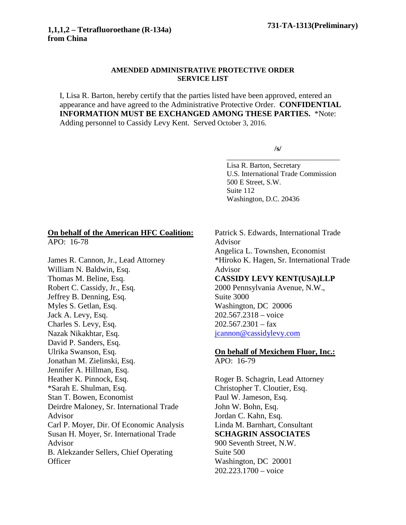## **AMENDED ADMINISTRATIVE PROTECTIVE ORDER SERVICE LIST**

I, Lisa R. Barton, hereby certify that the parties listed have been approved, entered an appearance and have agreed to the Administrative Protective Order. **CONFIDENTIAL INFORMATION MUST BE EXCHANGED AMONG THESE PARTIES.** \*Note: Adding personnel to Cassidy Levy Kent. Served October 3, 2016.

**/s/**

\_\_\_\_\_\_\_\_\_\_\_\_\_\_\_\_\_\_\_\_\_\_\_\_\_\_\_\_\_\_\_

Lisa R. Barton, Secretary U.S. International Trade Commission 500 E Street, S.W. Suite 112 Washington, D.C. 20436

## **On behalf of the American HFC Coalition:**

APO: 16-78

James R. Cannon, Jr., Lead Attorney William N. Baldwin, Esq. Thomas M. Beline, Esq. Robert C. Cassidy, Jr., Esq. Jeffrey B. Denning, Esq. Myles S. Getlan, Esq. Jack A. Levy, Esq. Charles S. Levy, Esq. Nazak Nikakhtar, Esq. David P. Sanders, Esq. Ulrika Swanson, Esq. Jonathan M. Zielinski, Esq. Jennifer A. Hillman, Esq. Heather K. Pinnock, Esq. \*Sarah E. Shulman, Esq. Stan T. Bowen, Economist Deirdre Maloney, Sr. International Trade Advisor Carl P. Moyer, Dir. Of Economic Analysis Susan H. Moyer, Sr. International Trade Advisor B. Alekzander Sellers, Chief Operating **Officer** 

Patrick S. Edwards, International Trade Advisor Angelica L. Townshen, Economist \*Hiroko K. Hagen, Sr. International Trade Advisor **CASSIDY LEVY KENT(USA)LLP** 2000 Pennsylvania Avenue, N.W., Suite 3000 Washington, DC 20006 202.567.2318 – voice  $202.567.2301 - fax$ [jcannon@cassidylevy.com](mailto:jcannon@cassidylevy.com) **On behalf of Mexichem Fluor, Inc.:**

## APO: 16-79

Roger B. Schagrin, Lead Attorney Christopher T. Cloutier, Esq. Paul W. Jameson, Esq. John W. Bohn, Esq. Jordan C. Kahn, Esq. Linda M. Barnhart, Consultant **SCHAGRIN ASSOCIATES** 900 Seventh Street, N.W. Suite 500 Washington, DC 20001 202.223.1700 – voice